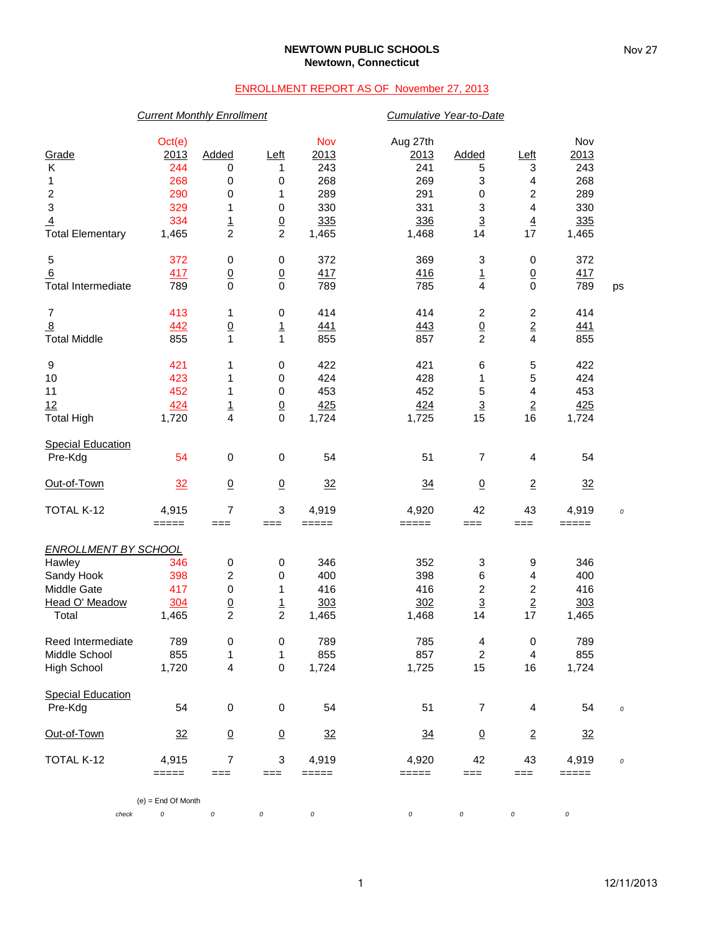### **NEWTOWN PUBLIC SCHOOLS Newtown, Connecticut**

# ENROLLMENT REPORT AS OF November 27, 2013

## *Current Monthly Enrollment Cumulative Year-to-Date*

|                             | Oct(e)               |                 |                 | Nov     | Aug 27th |                           |                          | Nov        |          |
|-----------------------------|----------------------|-----------------|-----------------|---------|----------|---------------------------|--------------------------|------------|----------|
| Grade                       | 2013                 | Added           | Left            | 2013    | 2013     | Added                     | <u>Left</u>              | 2013       |          |
| Κ                           | 244                  | 0               | 1               | 243     | 241      | 5                         | 3                        | 243        |          |
| 1                           | 268                  | 0               | 0               | 268     | 269      | 3                         | 4                        | 268        |          |
| $\boldsymbol{2}$            | 290                  | 0               | 1               | 289     | 291      | $\,0\,$                   | 2                        | 289        |          |
| $\ensuremath{\mathsf{3}}$   | 329                  | 1               | 0               | 330     | 331      | $\ensuremath{\mathsf{3}}$ | 4                        | 330        |          |
| $\overline{4}$              | 334                  |                 | $\underline{0}$ | 335     | 336      | $\overline{3}$            | $\overline{4}$           | 335        |          |
| <b>Total Elementary</b>     | 1,465                | $\frac{1}{2}$   | $\overline{c}$  | 1,465   | 1,468    | 14                        | 17                       | 1,465      |          |
| 5                           | 372                  | 0               | 0               | 372     | 369      | 3                         | 0                        | 372        |          |
| 6                           | 417                  | $\underline{0}$ | $\underline{0}$ | 417     | 416      | <u> 1</u>                 | $\overline{0}$           | 417        |          |
| <b>Total Intermediate</b>   | 789                  | $\mathbf 0$     | $\mathbf 0$     | 789     | 785      | $\overline{\mathbf{4}}$   | $\pmb{0}$                | 789        | ps       |
| $\overline{7}$              | 413                  | 1               | 0               | 414     | 414      | $\overline{\mathbf{c}}$   | 2                        | 414        |          |
| $\overline{8}$              | 442                  | $\underline{0}$ | $\overline{1}$  | 441     | 443      | $\overline{0}$            | $\frac{2}{4}$            | <u>441</u> |          |
| <b>Total Middle</b>         | 855                  | 1               | $\mathbf{1}$    | 855     | 857      | $\overline{c}$            |                          | 855        |          |
| 9                           | 421                  | 1               | 0               | 422     | 421      | 6                         | 5                        | 422        |          |
| 10                          | 423                  | 1               | 0               | 424     | 428      | 1                         | 5                        | 424        |          |
| 11                          | 452                  | 1               | 0               | 453     | 452      | 5                         | 4                        | 453        |          |
| 12                          | 424                  | $\frac{1}{4}$   | $\underline{0}$ | 425     | 424      | $\overline{3}$            | $\underline{\mathbf{2}}$ | 425        |          |
| <b>Total High</b>           | 1,720                |                 | 0               | 1,724   | 1,725    | 15                        | 16                       | 1,724      |          |
| <b>Special Education</b>    |                      |                 |                 |         |          |                           |                          |            |          |
| Pre-Kdg                     | 54                   | 0               | 0               | 54      | 51       | $\overline{7}$            | 4                        | 54         |          |
| Out-of-Town                 | 32                   | $\underline{0}$ | $\underline{0}$ | 32      | 34       | $\overline{0}$            | $\overline{2}$           | 32         |          |
| TOTAL K-12                  | 4,915                | 7               | 3               | 4,919   | 4,920    | 42                        | 43                       | 4,919      | 0        |
|                             | $=====$              | $==$            | $==$            | $=====$ | $=====$  | ===                       | ===                      | $=====$    |          |
| <b>ENROLLMENT BY SCHOOL</b> |                      |                 |                 |         |          |                           |                          |            |          |
| Hawley                      | 346                  | 0               | 0               | 346     | 352      | 3                         | 9                        | 346        |          |
| Sandy Hook                  | 398                  | 2               | 0               | 400     | 398      | 6                         | 4                        | 400        |          |
| Middle Gate                 | 417                  | 0               | 1               | 416     | 416      | $\overline{\mathbf{c}}$   | 2                        | 416        |          |
| Head O' Meadow              | 304                  | $\underline{0}$ | $\overline{1}$  | 303     | 302      | $\overline{3}$            | $\overline{2}$           | 303        |          |
| Total                       | 1,465                | $\overline{c}$  | $\overline{c}$  | 1,465   | 1,468    | 14                        | 17                       | 1,465      |          |
| Reed Intermediate           | 789                  | 0               | 0               | 789     | 785      | 4                         | 0                        | 789        |          |
| Middle School               | 855                  | 1               | 1               | 855     | 857      | $\overline{c}$            | 4                        | 855        |          |
| High School                 | 1,720                | 4               | $\pmb{0}$       | 1,724   | 1,725    | 15                        | 16                       | 1,724      |          |
| <b>Special Education</b>    |                      |                 |                 |         |          |                           |                          |            |          |
| Pre-Kdg                     | 54                   | $\pmb{0}$       | 0               | 54      | 51       | 7                         | 4                        | 54         | $\cal O$ |
| Out-of-Town                 | 32                   | $\underline{0}$ | $\underline{0}$ | 32      | 34       | $\underline{0}$           | $\overline{2}$           | 32         |          |
| TOTAL K-12                  | 4,915                | $\overline{7}$  | 3               | 4,919   | 4,920    | 42                        | 43                       | 4,919      | 0        |
|                             | $=====$              | $==$            | ===             | $=====$ | $=====$  | ===                       | ===                      | $=====$    |          |
|                             | $(e) =$ End Of Month |                 |                 |         |          |                           |                          |            |          |
| check                       | $\cal O$             | $\cal O$        | 0               | 0       | 0        | 0                         | 0                        | 0          |          |